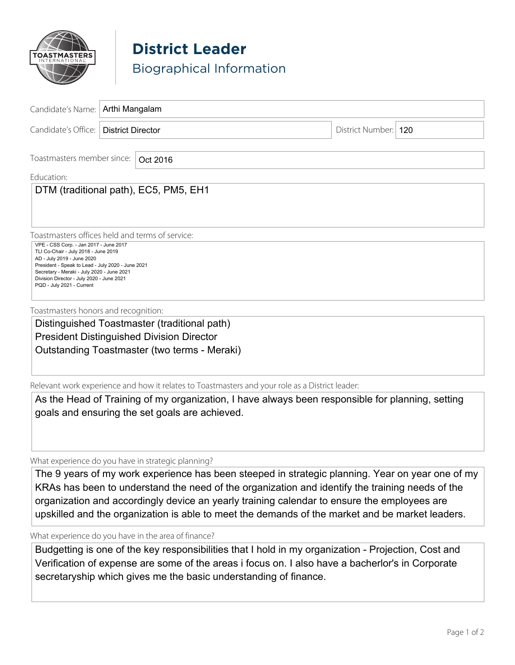

**District Leader** Biographical Information

| Candidate's Name:                                                                                                                                                                                                                               | Arthi Mangalam           |                      |  |
|-------------------------------------------------------------------------------------------------------------------------------------------------------------------------------------------------------------------------------------------------|--------------------------|----------------------|--|
| Candidate's Office:                                                                                                                                                                                                                             | <b>District Director</b> | District Number: 120 |  |
| Toastmasters member since:<br>Oct 2016<br>Education:<br>DTM (traditional path), EC5, PM5, EH1                                                                                                                                                   |                          |                      |  |
| Toastmasters offices held and terms of service:<br>VPE - CSS Corp. - Jan 2017 - June 2017                                                                                                                                                       |                          |                      |  |
| TLI Co-Chair - July 2018 - June 2019<br>AD - July 2019 - June 2020<br>President - Speak to Lead - July 2020 - June 2021<br>Secretary - Meraki - July 2020 - June 2021<br>Division Director - July 2020 - June 2021<br>PQD - July 2021 - Current |                          |                      |  |
| Toastmasters honors and recognition:                                                                                                                                                                                                            |                          |                      |  |
| Distinguished Toastmaster (traditional path)                                                                                                                                                                                                    |                          |                      |  |
| <b>President Distinguished Division Director</b>                                                                                                                                                                                                |                          |                      |  |
| Outstanding Toastmaster (two terms - Meraki)                                                                                                                                                                                                    |                          |                      |  |

Relevant work experience and how it relates to Toastmasters and your role as a District leader:

As the Head of Training of my organization, I have always been responsible for planning, setting goals and ensuring the set goals are achieved.

What experience do you have in strategic planning?

The 9 years of my work experience has been steeped in strategic planning. Year on year one of my KRAs has been to understand the need of the organization and identify the training needs of the organization and accordingly device an yearly training calendar to ensure the employees are upskilled and the organization is able to meet the demands of the market and be market leaders.

What experience do you have in the area of finance?

Budgetting is one of the key responsibilities that I hold in my organization - Projection, Cost and Verification of expense are some of the areas i focus on. I also have a bacherlor's in Corporate secretaryship which gives me the basic understanding of finance.